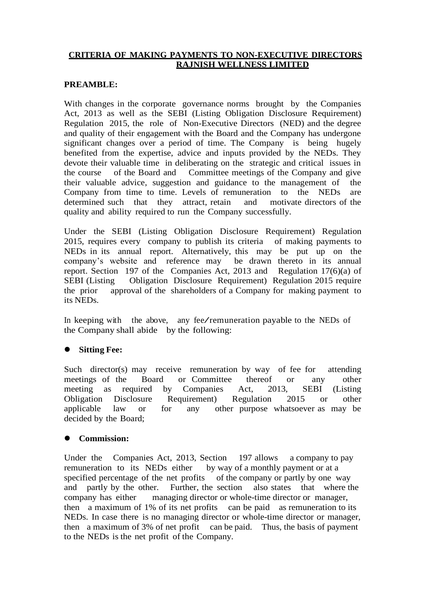# **CRITERIA OF MAKING PAYMENTS TO NON-EXECUTIVE DIRECTORS RAJNISH WELLNESS LIMITED**

# **PREAMBLE:**

With changes in the corporate governance norms brought by the Companies Act, 2013 as well as the SEBI (Listing Obligation Disclosure Requirement) Regulation 2015, the role of Non-Executive Directors (NED) and the degree and quality of their engagement with the Board and the Company has undergone significant changes over a period of time. The Company is being hugely benefited from the expertise, advice and inputs provided by the NEDs. They devote their valuable time in deliberating on the strategic and critical issues in the course of the Board and Committee meetings of the Company and give their valuable advice, suggestion and guidance to the management of the Company from time to time. Levels of remuneration to the NEDs are determined such that they attract, retain and motivate directors of the quality and ability required to run the Company successfully.

Under the SEBI (Listing Obligation Disclosure Requirement) Regulation 2015, requires every company to publish its criteria of making payments to NEDs in its annual report. Alternatively, this may be put up on the company's website and reference may be drawn thereto in its annual report. Section 197 of the Companies Act, 2013 and Regulation 17(6)(a) of SEBI (Listing Obligation Disclosure Requirement) Regulation 2015 require the prior approval of the shareholders of a Company for making payment to its NEDs.

In keeping with the above, any fee/remuneration payable to the NEDs of the Company shall abide by the following:

# **Sitting Fee:**

Such director(s) may receive remuneration by way of fee for attending meetings of the Board or Committee thereof or any other meeting as required by Companies Act, 2013, SEBI (Listing Obligation Disclosure Requirement) Regulation 2015 or other applicable law or for any other purpose whatsoever as may be decided by the Board;

# **Commission:**

Under the Companies Act, 2013, Section 197 allows a company to pay remuneration to its NEDs either by way of a monthly payment or at a specified percentage of the net profits of the company or partly by one way and partly by the other. Further, the section also states that where the company has either managing director or whole-time director or manager, then a maximum of 1% of its net profits can be paid as remuneration to its NEDs. In case there is no managing director or whole-time director or manager, then a maximum of 3% of net profit can be paid. Thus, the basis of payment to the NEDs is the net profit of the Company.